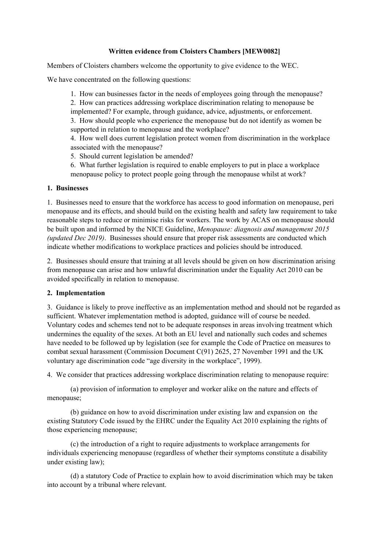#### **Written evidence from Cloisters Chambers [MEW0082]**

Members of Cloisters chambers welcome the opportunity to give evidence to the WEC.

We have concentrated on the following questions:

1. How can businesses factor in the needs of employees going through the menopause?

2. How can practices addressing workplace discrimination relating to menopause be implemented? For example, through guidance, advice, adjustments, or enforcement.

3. How should people who experience the menopause but do not identify as women be supported in relation to menopause and the workplace?

4. How well does current legislation protect women from discrimination in the workplace associated with the menopause?

5. Should current legislation be amended?

6. What further legislation is required to enable employers to put in place a workplace menopause policy to protect people going through the menopause whilst at work?

#### **1. Businesses**

1. Businesses need to ensure that the workforce has access to good information on menopause, peri menopause and its effects, and should build on the existing health and safety law requirement to take reasonable steps to reduce or minimise risks for workers. The work by ACAS on menopause should be built upon and informed by the NICE Guideline, *Menopause: diagnosis and management 2015 (updated Dec 2019)*. Businesses should ensure that proper risk assessments are conducted which indicate whether modifications to workplace practices and policies should be introduced.

2. Businesses should ensure that training at all levels should be given on how discrimination arising from menopause can arise and how unlawful discrimination under the Equality Act 2010 can be avoided specifically in relation to menopause.

## **2. Implementation**

3. Guidance is likely to prove ineffective as an implementation method and should not be regarded as sufficient. Whatever implementation method is adopted, guidance will of course be needed. Voluntary codes and schemes tend not to be adequate responses in areas involving treatment which undermines the equality of the sexes. At both an EU level and nationally such codes and schemes have needed to be followed up by legislation (see for example the Code of Practice on measures to combat sexual harassment (Commission Document C(91) 2625, 27 November 1991 and the UK voluntary age discrimination code "age diversity in the workplace", 1999).

4. We consider that practices addressing workplace discrimination relating to menopause require:

(a) provision of information to employer and worker alike on the nature and effects of menopause;

(b) guidance on how to avoid discrimination under existing law and expansion on the existing Statutory Code issued by the EHRC under the Equality Act 2010 explaining the rights of those experiencing menopause;

(c) the introduction of a right to require adjustments to workplace arrangements for individuals experiencing menopause (regardless of whether their symptoms constitute a disability under existing law);

(d) a statutory Code of Practice to explain how to avoid discrimination which may be taken into account by a tribunal where relevant.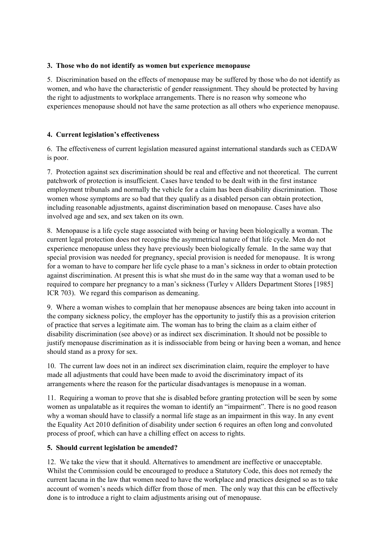### **3. Those who do not identify as women but experience menopause**

5. Discrimination based on the effects of menopause may be suffered by those who do not identify as women, and who have the characteristic of gender reassignment. They should be protected by having the right to adjustments to workplace arrangements. There is no reason why someone who experiences menopause should not have the same protection as all others who experience menopause.

## **4. Current legislation's effectiveness**

6. The effectiveness of current legislation measured against international standards such as CEDAW is poor.

7. Protection against sex discrimination should be real and effective and not theoretical. The current patchwork of protection is insufficient. Cases have tended to be dealt with in the first instance employment tribunals and normally the vehicle for a claim has been disability discrimination. Those women whose symptoms are so bad that they qualify as a disabled person can obtain protection, including reasonable adjustments, against discrimination based on menopause. Cases have also involved age and sex, and sex taken on its own.

8. Menopause is a life cycle stage associated with being or having been biologically a woman. The current legal protection does not recognise the asymmetrical nature of that life cycle. Men do not experience menopause unless they have previously been biologically female. In the same way that special provision was needed for pregnancy, special provision is needed for menopause. It is wrong for a woman to have to compare her life cycle phase to a man's sickness in order to obtain protection against discrimination. At present this is what she must do in the same way that a woman used to be required to compare her pregnancy to a man's sickness (Turley v Allders Department Stores [1985] ICR 703). We regard this comparison as demeaning.

9. Where a woman wishes to complain that her menopause absences are being taken into account in the company sickness policy, the employer has the opportunity to justify this as a provision criterion of practice that serves a legitimate aim. The woman has to bring the claim as a claim either of disability discrimination (see above) or as indirect sex discrimination. It should not be possible to justify menopause discrimination as it is indissociable from being or having been a woman, and hence should stand as a proxy for sex.

10. The current law does not in an indirect sex discrimination claim, require the employer to have made all adjustments that could have been made to avoid the discriminatory impact of its arrangements where the reason for the particular disadvantages is menopause in a woman.

11. Requiring a woman to prove that she is disabled before granting protection will be seen by some women as unpalatable as it requires the woman to identify an "impairment". There is no good reason why a woman should have to classify a normal life stage as an impairment in this way. In any event the Equality Act 2010 definition of disability under section 6 requires an often long and convoluted process of proof, which can have a chilling effect on access to rights.

#### **5. Should current legislation be amended?**

12. We take the view that it should. Alternatives to amendment are ineffective or unacceptable. Whilst the Commission could be encouraged to produce a Statutory Code, this does not remedy the current lacuna in the law that women need to have the workplace and practices designed so as to take account of women's needs which differ from those of men. The only way that this can be effectively done is to introduce a right to claim adjustments arising out of menopause.